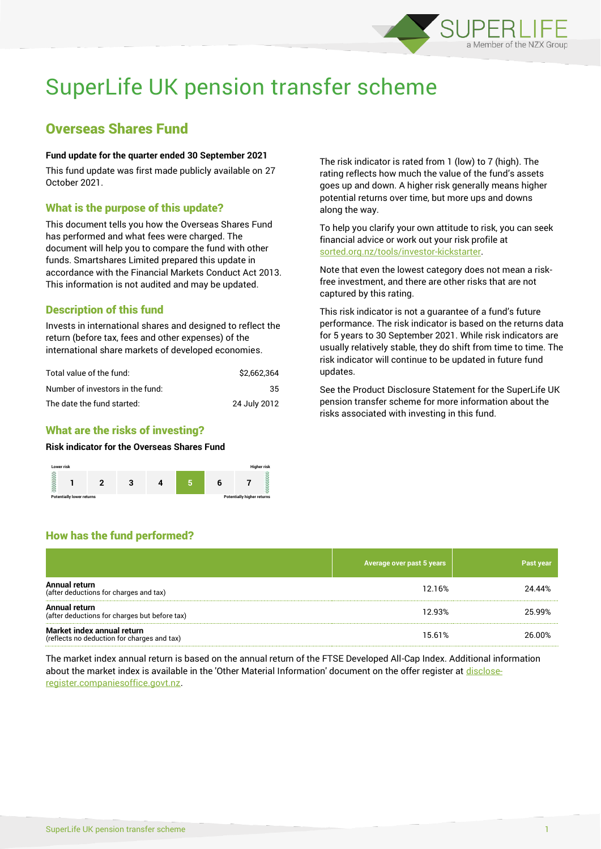

# SuperLife UK pension transfer scheme

# Overseas Shares Fund

#### **Fund update for the quarter ended 30 September 2021**

This fund update was first made publicly available on 27 October 2021.

### What is the purpose of this update?

This document tells you how the Overseas Shares Fund has performed and what fees were charged. The document will help you to compare the fund with other funds. Smartshares Limited prepared this update in accordance with the Financial Markets Conduct Act 2013. This information is not audited and may be updated.

# Description of this fund

Invests in international shares and designed to reflect the return (before tax, fees and other expenses) of the international share markets of developed economies.

| Total value of the fund:         | \$2.662.364  |
|----------------------------------|--------------|
| Number of investors in the fund: | 35.          |
| The date the fund started:       | 24 July 2012 |

# What are the risks of investing?

How has the fund performed?

#### **Risk indicator for the Overseas Shares Fund**



The risk indicator is rated from 1 (low) to 7 (high). The rating reflects how much the value of the fund's assets goes up and down. A higher risk generally means higher potential returns over time, but more ups and downs along the way.

To help you clarify your own attitude to risk, you can seek financial advice or work out your risk profile at [sorted.org.nz/tools/investor-kickstarter.](http://www.sorted.org.nz/tools/investor-kickstarter)

Note that even the lowest category does not mean a riskfree investment, and there are other risks that are not captured by this rating.

This risk indicator is not a guarantee of a fund's future performance. The risk indicator is based on the returns data for 5 years to 30 September 2021. While risk indicators are usually relatively stable, they do shift from time to time. The risk indicator will continue to be updated in future fund updates.

See the Product Disclosure Statement for the SuperLife UK pension transfer scheme for more information about the risks associated with investing in this fund.

# **Average over past 5 years Past years Past years Annual return**<br>(after deductions for charges and tax) All Data Fermines for charges and tax) 34.44% 29 and the set of the set of the set of the set of the set of the set of the set of the set of the set of the set of the set of the set of the set of the set of the set of the

| (arter deductions for charges and tax)                                    |        |        |  |
|---------------------------------------------------------------------------|--------|--------|--|
| Annual return<br>(after deductions for charges but before tax)            | 12.93% | 25.99% |  |
| Market index annual return<br>(reflects no deduction for charges and tax) | 15.61% | 26.00% |  |

The market index annual return is based on the annual return of the FTSE Developed All-Cap Index. Additional information about the market index is available in the 'Other Material Information' document on the offer register a[t disclose](http://www.disclose-register.companiesoffice.govt.nz/)[register.companiesoffice.govt.nz.](http://www.disclose-register.companiesoffice.govt.nz/)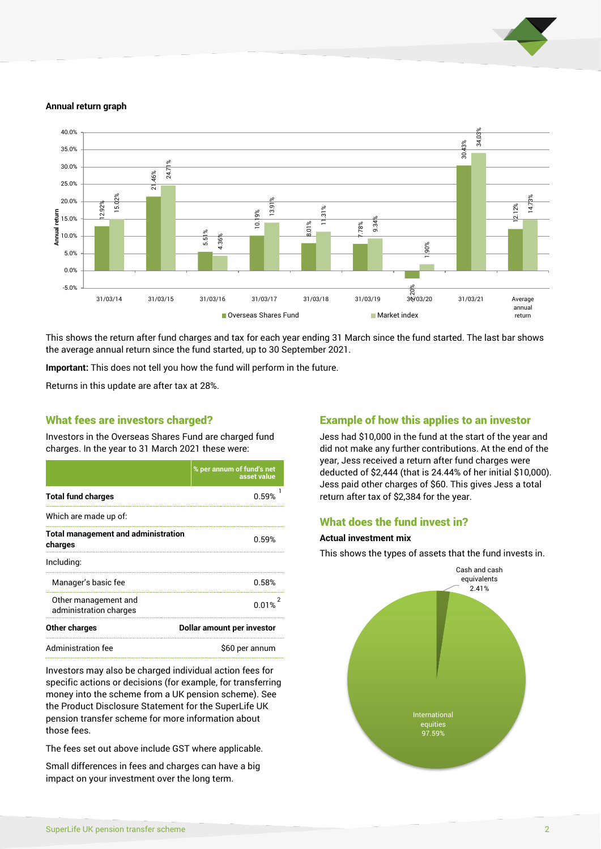

#### **Annual return graph**



This shows the return after fund charges and tax for each year ending 31 March since the fund started. The last bar shows the average annual return since the fund started, up to 30 September 2021.

**Important:** This does not tell you how the fund will perform in the future.

Returns in this update are after tax at 28%.

#### What fees are investors charged?

Investors in the Overseas Shares Fund are charged fund charges. In the year to 31 March 2021 these were:

|                                                       | % per annum of fund's net<br>asset value |  |
|-------------------------------------------------------|------------------------------------------|--|
| <b>Total fund charges</b>                             | በ 59%                                    |  |
| Which are made up of:                                 |                                          |  |
| <b>Total management and administration</b><br>charges | በ 59%                                    |  |
| Including:                                            |                                          |  |
| Manager's basic fee                                   | 0.58%                                    |  |
| Other management and<br>administration charges        | 0.01%                                    |  |
| Other charges                                         | Dollar amount per investor               |  |
| <b>Administration fee</b>                             | \$60 per annum                           |  |

Investors may also be charged individual action fees for specific actions or decisions (for example, for transferring money into the scheme from a UK pension scheme). See the Product Disclosure Statement for the SuperLife UK pension transfer scheme for more information about those fees.

The fees set out above include GST where applicable.

Small differences in fees and charges can have a big impact on your investment over the long term.

### Example of how this applies to an investor

Jess had \$10,000 in the fund at the start of the year and did not make any further contributions. At the end of the year, Jess received a return after fund charges were deducted of \$2,444 (that is 24.44% of her initial \$10,000). Jess paid other charges of \$60. This gives Jess a total return after tax of \$2,384 for the year.

#### What does the fund invest in?

#### **Actual investment mix**

This shows the types of assets that the fund invests in.

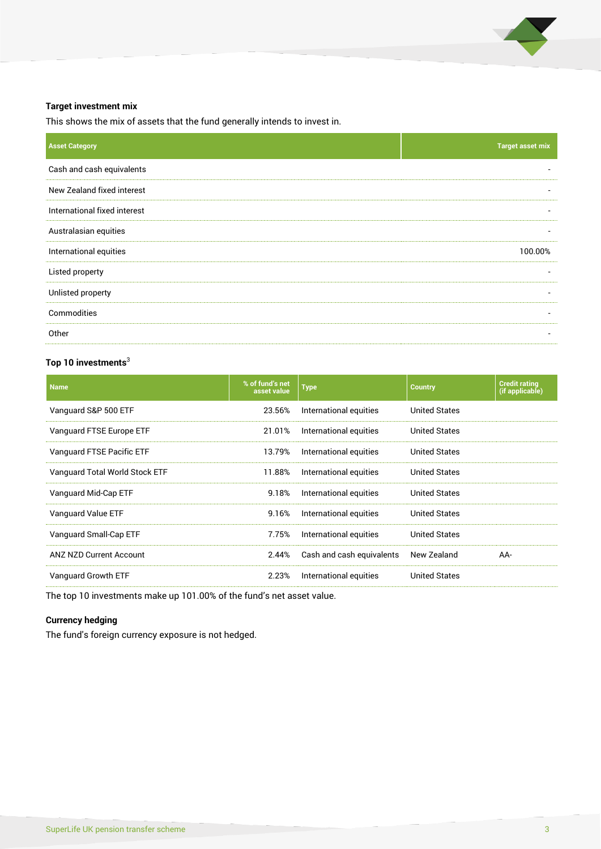

#### **Target investment mix**

This shows the mix of assets that the fund generally intends to invest in.

| <b>Target asset mix</b>  |
|--------------------------|
| $\overline{\phantom{0}}$ |
|                          |
|                          |
| $\overline{\phantom{a}}$ |
| 100.00%                  |
|                          |
| ٠                        |
| $\overline{\phantom{a}}$ |
|                          |
|                          |

## **Top 10 investments**<sup>3</sup>

| <b>Name</b>                    | % of fund's net<br>asset value | <b>Type</b>                                    | <b>Country</b>       | <b>Credit rating</b><br>(if applicable) |
|--------------------------------|--------------------------------|------------------------------------------------|----------------------|-----------------------------------------|
| Vanguard S&P 500 ETF           | 23.56%                         | International equities                         | <b>United States</b> |                                         |
| Vanguard FTSE Europe ETF       | 21.01%                         | International equities                         | United States        |                                         |
| Vanguard FTSE Pacific ETF      | 13.79%                         | International equities<br><b>United States</b> |                      |                                         |
| Vanguard Total World Stock ETF | 11.88%                         | International equities                         | United States        |                                         |
| Vanguard Mid-Cap ETF           | 9.18%                          | International equities                         | United States        |                                         |
| Vanguard Value ETF             | 9.16%                          | International equities                         | <b>United States</b> |                                         |
| Vanguard Small-Cap ETF         | 7.75%                          | International equities                         | <b>United States</b> |                                         |
| <b>ANZ NZD Current Account</b> | 2.44%                          | Cash and cash equivalents                      | New Zealand          | AA-                                     |
| Vanguard Growth ETF            | 2.23%                          | International equities                         | <b>United States</b> |                                         |
|                                |                                |                                                |                      |                                         |

The top 10 investments make up 101.00% of the fund's net asset value.

## **Currency hedging**

The fund's foreign currency exposure is not hedged.